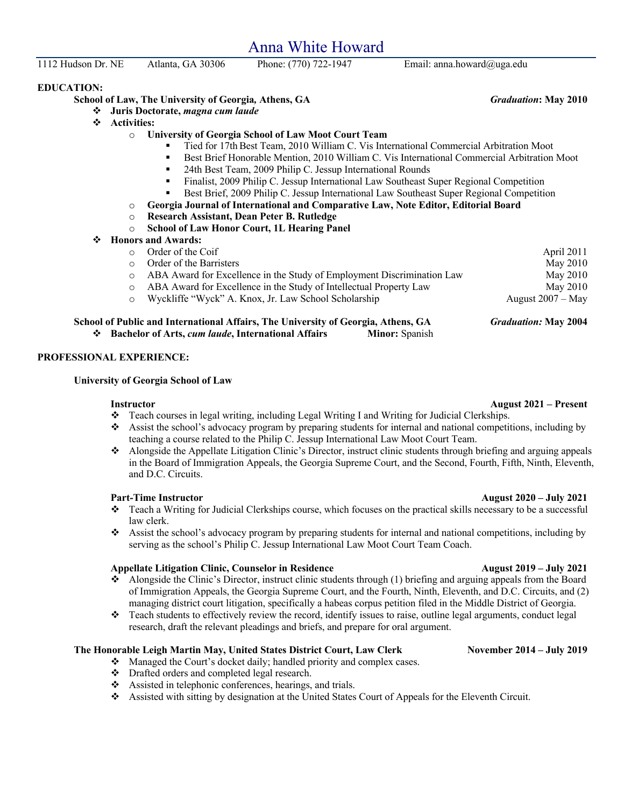Anna White Howard

1112 Hudson Dr. NE Atlanta, GA 30306 Phone: (770) 722-1947 Email: anna.howard@uga.edu

**EDUCATION:**

**School of Law, The University of Georgia***,* **Athens, GA** *Graduation***: May 2010**

- v **Juris Doctorate,** *magna cum laude*
- v **Activities:**
	- o **University of Georgia School of Law Moot Court Team**
		- <sup>■</sup> Tied for 17th Best Team, 2010 William C. Vis International Commercial Arbitration Moot
		- § Best Brief Honorable Mention, 2010 William C. Vis International Commercial Arbitration Moot
		- 24th Best Team, 2009 Philip C. Jessup International Rounds
		- Finalist, 2009 Philip C. Jessup International Law Southeast Super Regional Competition
		- § Best Brief, 2009 Philip C. Jessup International Law Southeast Super Regional Competition
	- o **Georgia Journal of International and Comparative Law, Note Editor, Editorial Board**
	- o **Research Assistant, Dean Peter B. Rutledge**
	- o **School of Law Honor Court, 1L Hearing Panel**
- v **Honors and Awards:**

| School of Public and International Affairs, The University of Georgia, Athens, GA |                                                                        | <b>Graduation: May 2004</b> |
|-----------------------------------------------------------------------------------|------------------------------------------------------------------------|-----------------------------|
| $\circ$                                                                           | Wyckliffe "Wyck" A. Knox, Jr. Law School Scholarship                   | August $2007 - May$         |
| $\circ$                                                                           | ABA Award for Excellence in the Study of Intellectual Property Law     | May 2010                    |
| O                                                                                 | ABA Award for Excellence in the Study of Employment Discrimination Law | May 2010                    |
|                                                                                   | Order of the Barristers                                                | May 2010                    |
|                                                                                   | Order of the Coif                                                      | April 2011                  |
|                                                                                   |                                                                        |                             |

v **Bachelor of Arts,** *cum laude***, International Affairs Minor:** Spanish

### **PROFESSIONAL EXPERIENCE:**

### **University of Georgia School of Law**

- v Teach courses in legal writing, including Legal Writing I and Writing for Judicial Clerkships.
- $\bullet$  Assist the school's advocacy program by preparing students for internal and national competitions, including by teaching a course related to the Philip C. Jessup International Law Moot Court Team.
- v Alongside the Appellate Litigation Clinic's Director, instruct clinic students through briefing and arguing appeals in the Board of Immigration Appeals, the Georgia Supreme Court, and the Second, Fourth, Fifth, Ninth, Eleventh, and D.C. Circuits.

### **Part-Time Instructor August 2020 – July 2021**

- v Teach a Writing for Judicial Clerkships course, which focuses on the practical skills necessary to be a successful law clerk.
- \* Assist the school's advocacy program by preparing students for internal and national competitions, including by serving as the school's Philip C. Jessup International Law Moot Court Team Coach.

### **Appellate Litigation Clinic, Counselor in Residence August 2019 – July 2021**

- v Alongside the Clinic's Director, instruct clinic students through (1) briefing and arguing appeals from the Board of Immigration Appeals, the Georgia Supreme Court, and the Fourth, Ninth, Eleventh, and D.C. Circuits, and (2) managing district court litigation, specifically a habeas corpus petition filed in the Middle District of Georgia.
- $\bullet$  Teach students to effectively review the record, identify issues to raise, outline legal arguments, conduct legal research, draft the relevant pleadings and briefs, and prepare for oral argument.

### **The Honorable Leigh Martin May, United States District Court, Law Clerk November 2014 – July 2019**

- \* Managed the Court's docket daily; handled priority and complex cases.
- v Drafted orders and completed legal research.
- $\bullet$  Assisted in telephonic conferences, hearings, and trials.
- v Assisted with sitting by designation at the United States Court of Appeals for the Eleventh Circuit.

# **Instructor August 2021 – Present**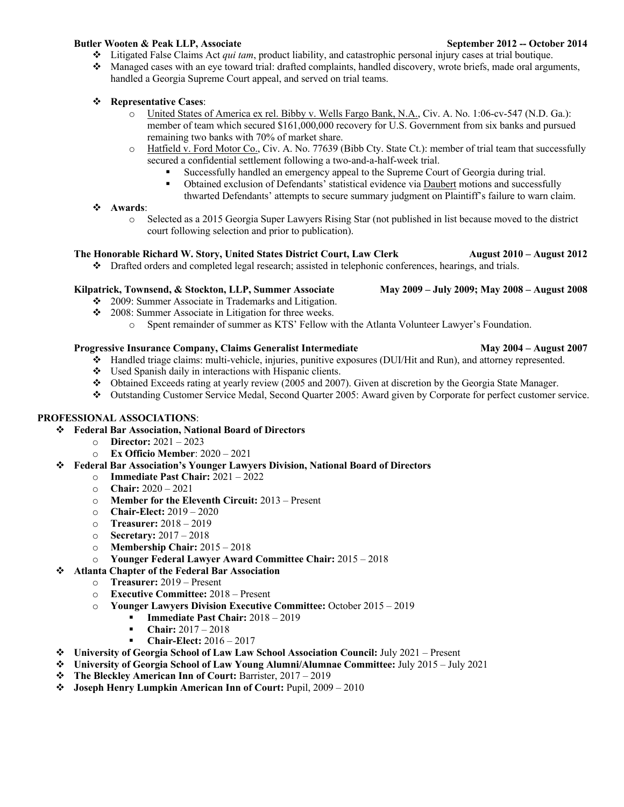# **Butler Wooten & Peak LLP, Associate September 2012 -- October 2014**

- v Litigated False Claims Act *qui tam*, product liability, and catastrophic personal injury cases at trial boutique.
- $\bullet$  Managed cases with an eye toward trial: drafted complaints, handled discovery, wrote briefs, made oral arguments, handled a Georgia Supreme Court appeal, and served on trial teams.

# v **Representative Cases**:

- o United States of America ex rel. Bibby v. Wells Fargo Bank, N.A., Civ. A. No. 1:06-cv-547 (N.D. Ga.): member of team which secured \$161,000,000 recovery for U.S. Government from six banks and pursued remaining two banks with 70% of market share.
- o Hatfield v. Ford Motor Co., Civ. A. No. 77639 (Bibb Cty. State Ct.): member of trial team that successfully secured a confidential settlement following a two-and-a-half-week trial.
	- § Successfully handled an emergency appeal to the Supreme Court of Georgia during trial.
	- <sup>■</sup> Obtained exclusion of Defendants' statistical evidence via Daubert motions and successfully thwarted Defendants' attempts to secure summary judgment on Plaintiff's failure to warn claim.

# v **Awards**:

o Selected as a 2015 Georgia Super Lawyers Rising Star (not published in list because moved to the district court following selection and prior to publication).

# **The Honorable Richard W. Story, United States District Court, Law Clerk August 2010 – August 2012**

 $\bullet$  Drafted orders and completed legal research; assisted in telephonic conferences, hearings, and trials.

# **Kilpatrick, Townsend, & Stockton, LLP, Summer Associate May 2009 – July 2009; May 2008 – August 2008**

- $\div$  2009: Summer Associate in Trademarks and Litigation.
- v 2008: Summer Associate in Litigation for three weeks.
	- o Spent remainder of summer as KTS' Fellow with the Atlanta Volunteer Lawyer's Foundation.

# **Progressive Insurance Company, Claims Generalist Intermediate May 2004 – August 2007**

- $\bullet$  Handled triage claims: multi-vehicle, injuries, punitive exposures (DUI/Hit and Run), and attorney represented.
- $\bullet$  Used Spanish daily in interactions with Hispanic clients.
- v Obtained Exceeds rating at yearly review (2005 and 2007). Given at discretion by the Georgia State Manager.
- v Outstanding Customer Service Medal, Second Quarter 2005: Award given by Corporate for perfect customer service.

# **PROFESSIONAL ASSOCIATIONS**:

# v **Federal Bar Association, National Board of Directors**

- o **Director:** 2021 2023
- o **Ex Officio Member**: 2020 2021
- v **Federal Bar Association's Younger Lawyers Division, National Board of Directors**
	- o **Immediate Past Chair:** 2021 2022
	- o **Chair:** 2020 2021
	- o **Member for the Eleventh Circuit:** 2013 Present
	- o **Chair-Elect:** 2019 2020
	- o **Treasurer:** 2018 2019
	- o **Secretary:** 2017 2018
	- o **Membership Chair:** 2015 2018
	- o **Younger Federal Lawyer Award Committee Chair:** 2015 2018

# v **Atlanta Chapter of the Federal Bar Association**

- o **Treasurer:** 2019 Present
- o **Executive Committee:** 2018 Present
- o **Younger Lawyers Division Executive Committee:** October 2015 2019
	- § **Immediate Past Chair:** 2018 2019
	- § **Chair:** 2017 2018
	- § **Chair-Elect:** 2016 2017
- v **University of Georgia School of Law Law School Association Council:** July 2021 Present
- v **University of Georgia School of Law Young Alumni/Alumnae Committee:** July 2015 July 2021
- v **The Bleckley American Inn of Court:** Barrister, 2017 2019
- v **Joseph Henry Lumpkin American Inn of Court:** Pupil, 2009 2010